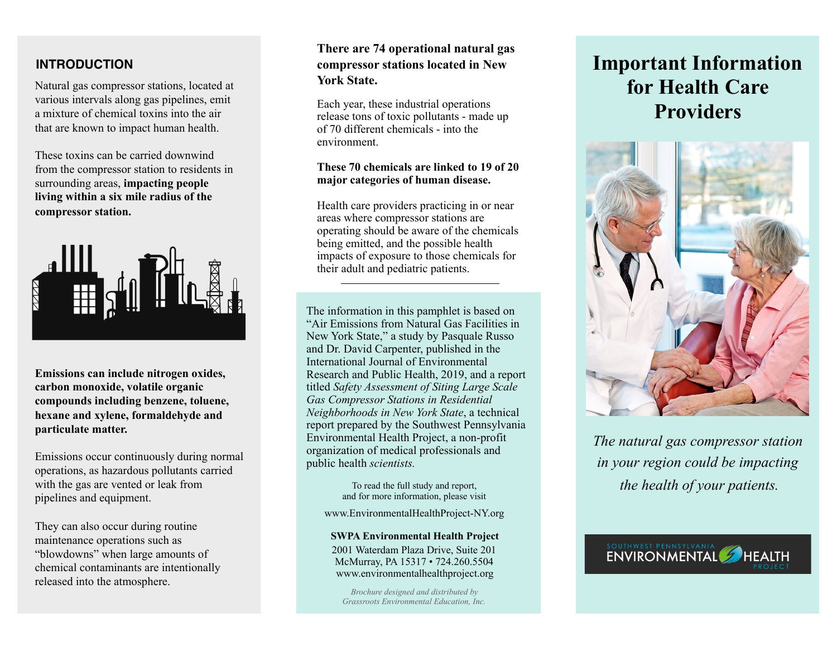## **INTRODUCTION**

Natural gas compressor stations, located at various intervals along gas pipelines, emit a mixture of chemical toxins into the air that are known to impact human health.

These toxins can be carried downwind from the compressor station to residents in surrounding areas, **impacting people living within a six mile radius of the compressor station.**



**Emissions can include nitrogen oxides, carbon monoxide, volatile organic compounds including benzene, toluene, hexane and xylene, formaldehyde and particulate matter.** 

Emissions occur continuously during normal operations, as hazardous pollutants carried with the gas are vented or leak from pipelines and equipment.

They can also occur during routine maintenance operations such as "blowdowns" when large amounts of chemical contaminants are intentionally released into the atmosphere.

# **There are 74 operational natural gas compressor stations located in New York State.**

Each year, these industrial operations release tons of toxic pollutants - made up of 70 different chemicals - into the environment.

#### **These 70 chemicals are linked to 19 of 20 major categories of human disease.**

Health care providers practicing in or near areas where compressor stations are operating should be aware of the chemicals being emitted, and the possible health impacts of exposure to those chemicals for their adult and pediatric patients.

The information in this pamphlet is based on "Air Emissions from Natural Gas Facilities in New York State," a study by Pasquale Russo and Dr. David Carpenter, published in the International Journal of Environmental Research and Public Health, 2019, and a report titled *Safety Assessment of Siting Large Scale Gas Compressor Stations in Residential Neighborhoods in New York State*, a technical report prepared by the Southwest Pennsylvania Environmental Health Project, a non-profit organization of medical professionals and public health *scientists.* 

> To read the full study and report, and for more information, please visit

www.EnvironmentalHealthProject-NY.org

#### **SWPA Environmental Health Project**

2001 Waterdam Plaza Drive, Suite 201 McMurray, PA 15317 • 724.260.5504 [www.environmentalhealthproject.org](http://www.environmentalhealthproject.org)

*Brochure designed and distributed by Grassroots Environmental Education, Inc.*

# **Important Information for Health Care Providers**



*The natural gas compressor station in your region could be impacting the health of your patients.*